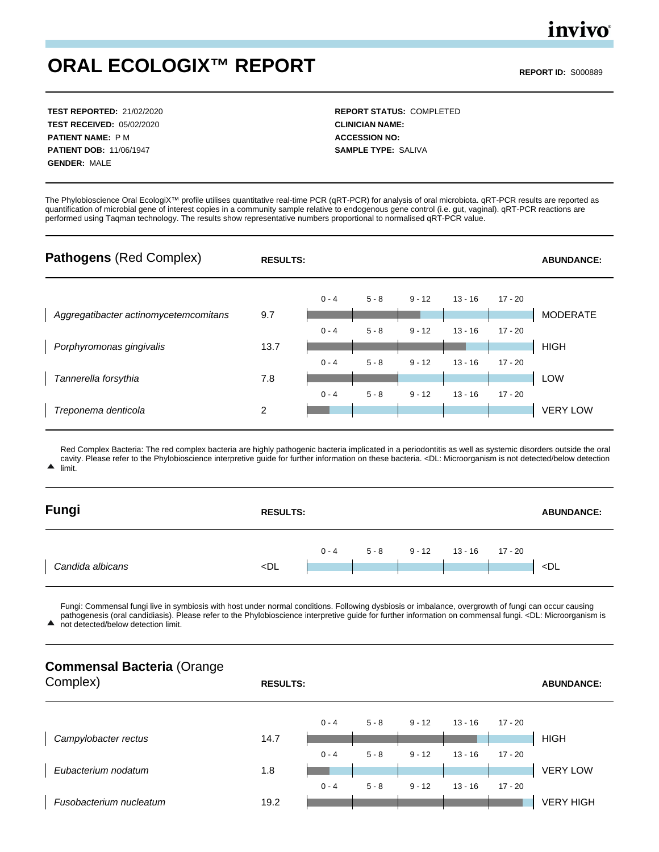## **ORAL ECOLOGIX™ REPORT REPORT ID:** S000889

**TEST RECEIVED:** 05/02/2020 **CLINICIAN NAME: PATIENT NAME:** P M **ACCESSION NO: PATIENT DOB:** 11/06/1947 **SAMPLE TYPE:** SALIVA **GENDER:** MALE

**TEST REPORTED:** 21/02/2020 **REPORT STATUS:** COMPLETED

The Phylobioscience Oral EcologiX™ profile utilises quantitative real-time PCR (qRT-PCR) for analysis of oral microbiota. qRT-PCR results are reported as quantification of microbial gene of interest copies in a community sample relative to endogenous gene control (i.e. gut, vaginal). qRT-PCR reactions are performed using Taqman technology. The results show representative numbers proportional to normalised qRT-PCR value.



Red Complex Bacteria: The red complex bacteria are highly pathogenic bacteria implicated in a periodontitis as well as systemic disorders outside the oral cavity. Please refer to the Phylobioscience interpretive guide for further information on these bacteria. <DL: Microorganism is not detected/below detection limit.

| Fungi            | <b>RESULTS:</b>                                                                                                                                                     | <b>ABUNDANCE:</b> |         |          |         |         |            |
|------------------|---------------------------------------------------------------------------------------------------------------------------------------------------------------------|-------------------|---------|----------|---------|---------|------------|
| Candida albicans | <dl< td=""><td><math>0 - 4</math></td><td><math>5 - 8</math></td><td><math>9 - 12</math></td><td>13 - 16</td><td>17 - 20</td><td><math>\n  &lt;</math>DL</td></dl<> | $0 - 4$           | $5 - 8$ | $9 - 12$ | 13 - 16 | 17 - 20 | $\n  <$ DL |
|                  |                                                                                                                                                                     |                   |         |          |         |         |            |

Fungi: Commensal fungi live in symbiosis with host under normal conditions. Following dysbiosis or imbalance, overgrowth of fungi can occur causing pathogenesis (oral candidiasis). Please refer to the Phylobioscience interpretive guide for further information on commensal fungi. <DL: Microorganism is

▲ not detected/below detection limit.

### **Commensal Bacteria** (Orange